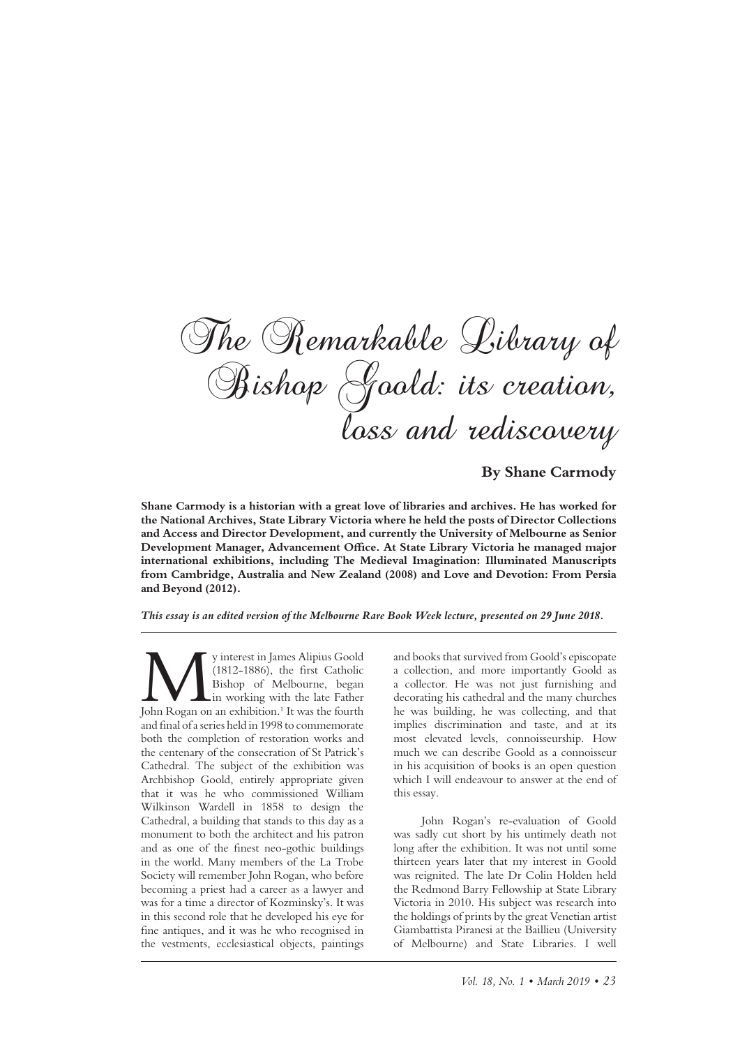The Remarkable Library of Bishop Goold: its creation, loss and rediscovery

**By Shane Carmody**

**Shane Carmody is a historian with a great love of libraries and archives. He has worked for the National Archives, State Library Victoria where he held the posts of Director Collections and Access and Director Development, and currently the University of Melbourne as Senior Development Manager, Advancement Ofce. At State Library Victoria he managed major international exhibitions, including The Medieval Imagination: Illuminated Manuscripts from Cambridge, Australia and New Zealand (2008) and Love and Devotion: From Persia and Beyond (2012).**

*This essay is an edited version of the Melbourne Rare Book Week lecture, presented on 29 June 2018.*

We y interest in James Alipius Goold (1812-1886), the first Catholic Bishop of Melbourne, began in working with the late Father John Rogan on an exhibition.<sup>1</sup> It was the fourth (1812-1886), the frst Catholic Bishop of Melbourne, began in working with the late Father and fnal of a series held in 1998 to commemorate both the completion of restoration works and the centenary of the consecration of St Patrick's Cathedral. The subject of the exhibition was Archbishop Goold, entirely appropriate given that it was he who commissioned William Wilkinson Wardell in 1858 to design the Cathedral, a building that stands to this day as a monument to both the architect and his patron and as one of the fnest neo-gothic buildings in the world. Many members of the La Trobe Society will remember John Rogan, who before becoming a priest had a career as a lawyer and was for a time a director of Kozminsky's. It was in this second role that he developed his eye for fne antiques, and it was he who recognised in the vestments, ecclesiastical objects, paintings

and books that survived from Goold's episcopate a collection, and more importantly Goold as a collector. He was not just furnishing and decorating his cathedral and the many churches he was building, he was collecting, and that implies discrimination and taste, and at its most elevated levels, connoisseurship. How much we can describe Goold as a connoisseur in his acquisition of books is an open question which I will endeavour to answer at the end of this essay.

John Rogan's re-evaluation of Goold was sadly cut short by his untimely death not long afer the exhibition. It was not until some thirteen years later that my interest in Goold was reignited. The late Dr Colin Holden held the Redmond Barry Fellowship at State Library Victoria in 2010. His subject was research into the holdings of prints by the great Venetian artist Giambattista Piranesi at the Baillieu (University of Melbourne) and State Libraries. I well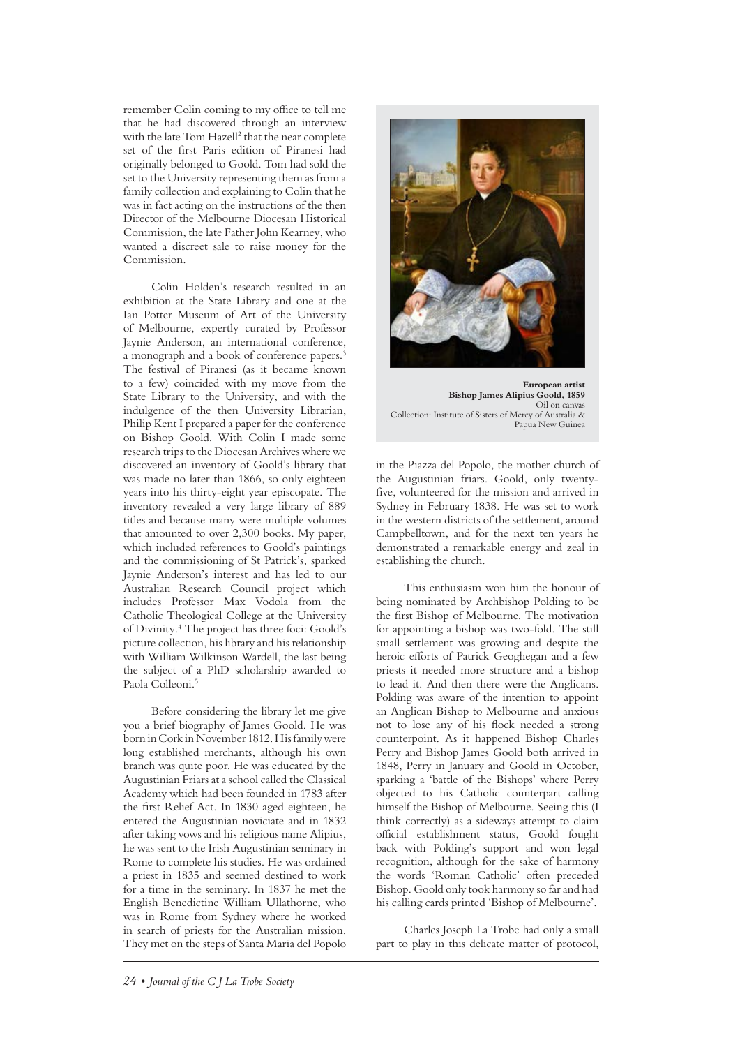remember Colin coming to my office to tell me that he had discovered through an interview with the late Tom Hazell<sup>2</sup> that the near complete set of the frst Paris edition of Piranesi had originally belonged to Goold. Tom had sold the set to the University representing them as from a family collection and explaining to Colin that he was in fact acting on the instructions of the then Director of the Melbourne Diocesan Historical Commission, the late Father John Kearney, who wanted a discreet sale to raise money for the Commission.

Colin Holden's research resulted in an exhibition at the State Library and one at the Ian Potter Museum of Art of the University of Melbourne, expertly curated by Professor Jaynie Anderson, an international conference, a monograph and a book of conference papers.<sup>3</sup> The festival of Piranesi (as it became known to a few) coincided with my move from the State Library to the University, and with the indulgence of the then University Librarian, Philip Kent I prepared a paper for the conference on Bishop Goold. With Colin I made some research trips to the Diocesan Archives where we discovered an inventory of Goold's library that was made no later than 1866, so only eighteen years into his thirty-eight year episcopate. The inventory revealed a very large library of 889 titles and because many were multiple volumes that amounted to over 2,300 books. My paper, which included references to Goold's paintings and the commissioning of St Patrick's, sparked Jaynie Anderson's interest and has led to our Australian Research Council project which includes Professor Max Vodola from the Catholic Theological College at the University of Divinity.4 The project has three foci: Goold's picture collection, his library and his relationship with William Wilkinson Wardell, the last being the subject of a PhD scholarship awarded to Paola Colleoni.<sup>5</sup>

Before considering the library let me give you a brief biography of James Goold. He was born in Cork in November 1812. His family were long established merchants, although his own branch was quite poor. He was educated by the Augustinian Friars at a school called the Classical Academy which had been founded in 1783 afer the frst Relief Act. In 1830 aged eighteen, he entered the Augustinian noviciate and in 1832 afer taking vows and his religious name Alipius, he was sent to the Irish Augustinian seminary in Rome to complete his studies. He was ordained a priest in 1835 and seemed destined to work for a time in the seminary. In 1837 he met the English Benedictine William Ullathorne, who was in Rome from Sydney where he worked in search of priests for the Australian mission. They met on the steps of Santa Maria del Popolo



**European artist Bishop James Alipius Goold, 1859** Oil on canvas Collection: Institute of Sisters of Mercy of Australia & Papua New Guinea

in the Piazza del Popolo, the mother church of the Augustinian friars. Goold, only twentyfve, volunteered for the mission and arrived in Sydney in February 1838. He was set to work in the western districts of the settlement, around Campbelltown, and for the next ten years he demonstrated a remarkable energy and zeal in establishing the church.

This enthusiasm won him the honour of being nominated by Archbishop Polding to be the frst Bishop of Melbourne. The motivation for appointing a bishop was two-fold. The still small settlement was growing and despite the heroic efforts of Patrick Geoghegan and a few priests it needed more structure and a bishop to lead it. And then there were the Anglicans. Polding was aware of the intention to appoint an Anglican Bishop to Melbourne and anxious not to lose any of his fock needed a strong counterpoint. As it happened Bishop Charles Perry and Bishop James Goold both arrived in 1848, Perry in January and Goold in October, sparking a 'battle of the Bishops' where Perry objected to his Catholic counterpart calling himself the Bishop of Melbourne. Seeing this (I think correctly) as a sideways attempt to claim official establishment status, Goold fought back with Polding's support and won legal recognition, although for the sake of harmony the words 'Roman Catholic' ofen preceded Bishop. Goold only took harmony so far and had his calling cards printed 'Bishop of Melbourne'.

Charles Joseph La Trobe had only a small part to play in this delicate matter of protocol,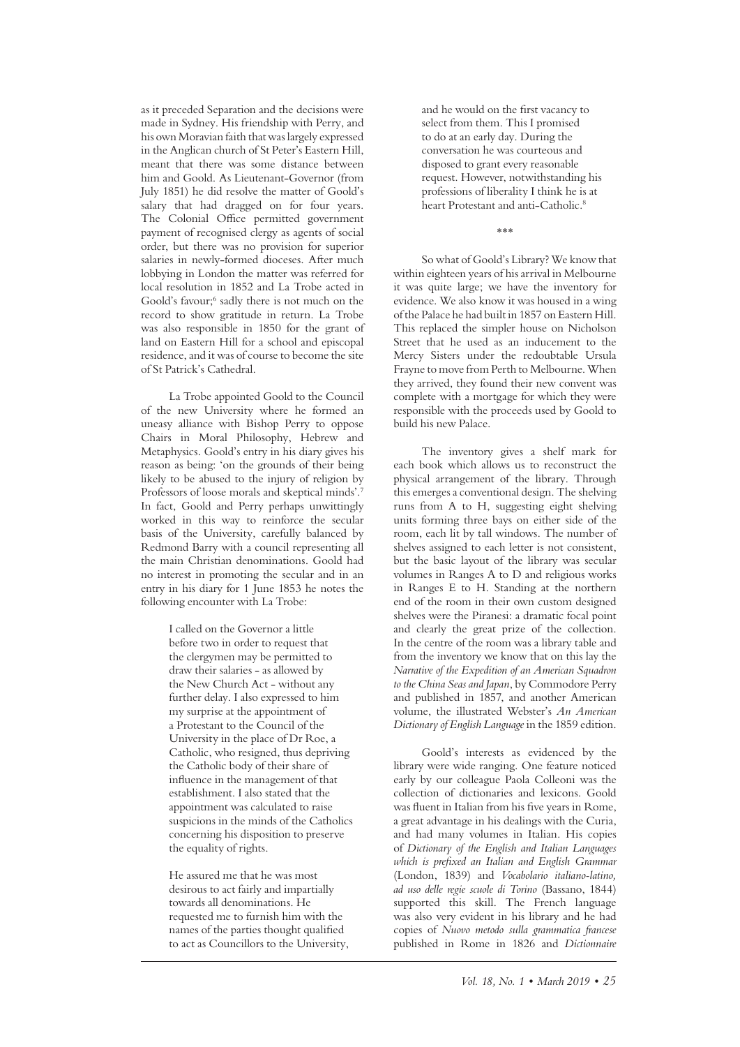as it preceded Separation and the decisions were made in Sydney. His friendship with Perry, and his own Moravian faith that was largely expressed in the Anglican church of St Peter's Eastern Hill, meant that there was some distance between him and Goold. As Lieutenant-Governor (from July 1851) he did resolve the matter of Goold's salary that had dragged on for four years. The Colonial Office permitted government payment of recognised clergy as agents of social order, but there was no provision for superior salaries in newly-formed dioceses. Afer much lobbying in London the matter was referred for local resolution in 1852 and La Trobe acted in Goold's favour;<sup>6</sup> sadly there is not much on the record to show gratitude in return. La Trobe was also responsible in 1850 for the grant of land on Eastern Hill for a school and episcopal residence, and it was of course to become the site of St Patrick's Cathedral.

La Trobe appointed Goold to the Council of the new University where he formed an uneasy alliance with Bishop Perry to oppose Chairs in Moral Philosophy, Hebrew and Metaphysics. Goold's entry in his diary gives his reason as being: 'on the grounds of their being likely to be abused to the injury of religion by Professors of loose morals and skeptical minds'.7 In fact, Goold and Perry perhaps unwittingly worked in this way to reinforce the secular basis of the University, carefully balanced by Redmond Barry with a council representing all the main Christian denominations. Goold had no interest in promoting the secular and in an entry in his diary for 1 June 1853 he notes the following encounter with La Trobe:

> I called on the Governor a little before two in order to request that the clergymen may be permitted to draw their salaries - as allowed by the New Church Act - without any further delay. I also expressed to him my surprise at the appointment of a Protestant to the Council of the University in the place of Dr Roe, a Catholic, who resigned, thus depriving the Catholic body of their share of infuence in the management of that establishment. I also stated that the appointment was calculated to raise suspicions in the minds of the Catholics concerning his disposition to preserve the equality of rights.

He assured me that he was most desirous to act fairly and impartially towards all denominations. He requested me to furnish him with the names of the parties thought qualifed to act as Councillors to the University, and he would on the frst vacancy to select from them. This I promised to do at an early day. During the conversation he was courteous and disposed to grant every reasonable request. However, notwithstanding his professions of liberality I think he is at heart Protestant and anti-Catholic.<sup>8</sup>

\*\*\*

So what of Goold's Library? We know that within eighteen years of his arrival in Melbourne it was quite large; we have the inventory for evidence. We also know it was housed in a wing of the Palace he had built in 1857 on Eastern Hill. This replaced the simpler house on Nicholson Street that he used as an inducement to the Mercy Sisters under the redoubtable Ursula Frayne to move from Perth to Melbourne. When they arrived, they found their new convent was complete with a mortgage for which they were responsible with the proceeds used by Goold to build his new Palace.

The inventory gives a shelf mark for each book which allows us to reconstruct the physical arrangement of the library. Through this emerges a conventional design. The shelving runs from A to H, suggesting eight shelving units forming three bays on either side of the room, each lit by tall windows. The number of shelves assigned to each letter is not consistent, but the basic layout of the library was secular volumes in Ranges A to D and religious works in Ranges E to H. Standing at the northern end of the room in their own custom designed shelves were the Piranesi: a dramatic focal point and clearly the great prize of the collection. In the centre of the room was a library table and from the inventory we know that on this lay the *Narrative of the Expedition of an American Squadron to the China Seas and Japan*, by Commodore Perry and published in 1857, and another American volume, the illustrated Webster's *An American Dictionary of English Language* in the 1859 edition.

Goold's interests as evidenced by the library were wide ranging. One feature noticed early by our colleague Paola Colleoni was the collection of dictionaries and lexicons. Goold was fuent in Italian from his fve years in Rome, a great advantage in his dealings with the Curia, and had many volumes in Italian. His copies of *Dictionary of the English and Italian Languages which is prefxed an Italian and English Grammar*  (London, 1839) and *Vocabolario italiano-latino, ad uso delle regie scuole di Torino* (Bassano, 1844) supported this skill. The French language was also very evident in his library and he had copies of *Nuovo metodo sulla grammatica francese* published in Rome in 1826 and *Dictionnaire*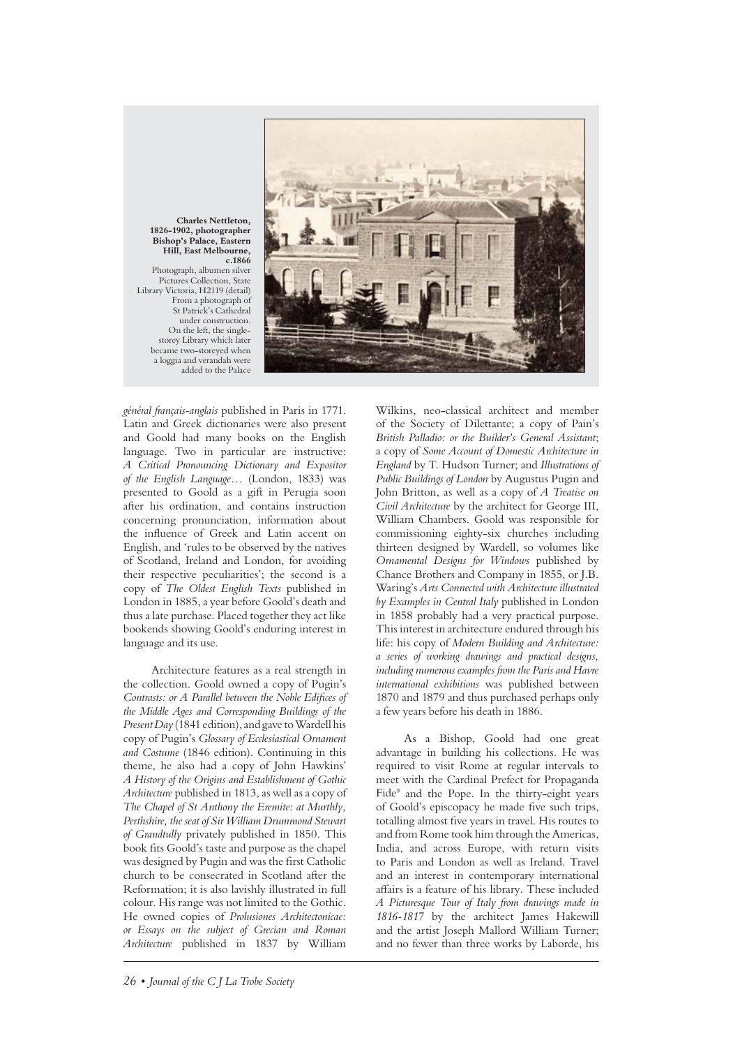

**Charles Nettleton, 1826-1902, photographer Bishop's Palace, Eastern Hill, East Melbourne, c.1866** Photograph, albumen silver Pictures Collection, State Library Victoria, H2119 (detail) From a photograph of St Patrick's Cathedral under construction. On the left, the singlestorey Library which later became two-storeyed when a loggia and verandah were added to the Palace

*général français-anglais* published in Paris in 1771. Latin and Greek dictionaries were also present and Goold had many books on the English language. Two in particular are instructive: *A Critical Pronouncing Dictionary and Expositor of the English Language*… (London, 1833) was presented to Goold as a gif in Perugia soon afer his ordination, and contains instruction concerning pronunciation, information about the infuence of Greek and Latin accent on English, and 'rules to be observed by the natives of Scotland, Ireland and London, for avoiding their respective peculiarities'; the second is a copy of *The Oldest English Texts* published in London in 1885, a year before Goold's death and thus a late purchase. Placed together they act like bookends showing Goold's enduring interest in language and its use.

Architecture features as a real strength in the collection. Goold owned a copy of Pugin's *Contrasts: or A Parallel between the Noble Edifces of the Middle Ages and Corresponding Buildings of the Present Day* (1841 edition), and gave to Wardell his copy of Pugin's *Glossary of Ecclesiastical Ornament and Costume* (1846 edition). Continuing in this theme, he also had a copy of John Hawkins' *A History of the Origins and Establishment of Gothic Architecture* published in 1813, as well as a copy of *The Chapel of St Anthony the Eremite: at Murthly, Perthshire, the seat of Sir William Drummond Stewart of Grandtully* privately published in 1850. This book fts Goold's taste and purpose as the chapel was designed by Pugin and was the frst Catholic church to be consecrated in Scotland afer the Reformation; it is also lavishly illustrated in full colour. His range was not limited to the Gothic. He owned copies of *Prolusiones Architectonicae: or Essays on the subject of Grecian and Roman Architecture* published in 1837 by William

Wilkins, neo-classical architect and member of the Society of Dilettante; a copy of Pain's *British Palladio: or the Builder's General Assistant*; a copy of *Some Account of Domestic Architecture in England* by T. Hudson Turner; and *Illustrations of Public Buildings of London* by Augustus Pugin and John Britton, as well as a copy of *A Treatise on Civil Architecture* by the architect for George III, William Chambers. Goold was responsible for commissioning eighty-six churches including thirteen designed by Wardell, so volumes like *Ornamental Designs for Windows* published by Chance Brothers and Company in 1855, or J.B. Waring's *Arts Connected with Architecture illustrated by Examples in Central Italy* published in London in 1858 probably had a very practical purpose. This interest in architecture endured through his life: his copy of *Modern Building and Architecture: a series of working drawings and practical designs, including numerous examples from the Paris and Havre international exhibitions* was published between 1870 and 1879 and thus purchased perhaps only a few years before his death in 1886.

As a Bishop, Goold had one great advantage in building his collections. He was required to visit Rome at regular intervals to meet with the Cardinal Prefect for Propaganda Fide<sup>9</sup> and the Pope. In the thirty-eight years of Goold's episcopacy he made fve such trips, totalling almost fve years in travel. His routes to and from Rome took him through the Americas, India, and across Europe, with return visits to Paris and London as well as Ireland. Travel and an interest in contemporary international afairs is a feature of his library. These included *A Picturesque Tour of Italy from drawings made in 1816-1817* by the architect James Hakewill and the artist Joseph Mallord William Turner; and no fewer than three works by Laborde, his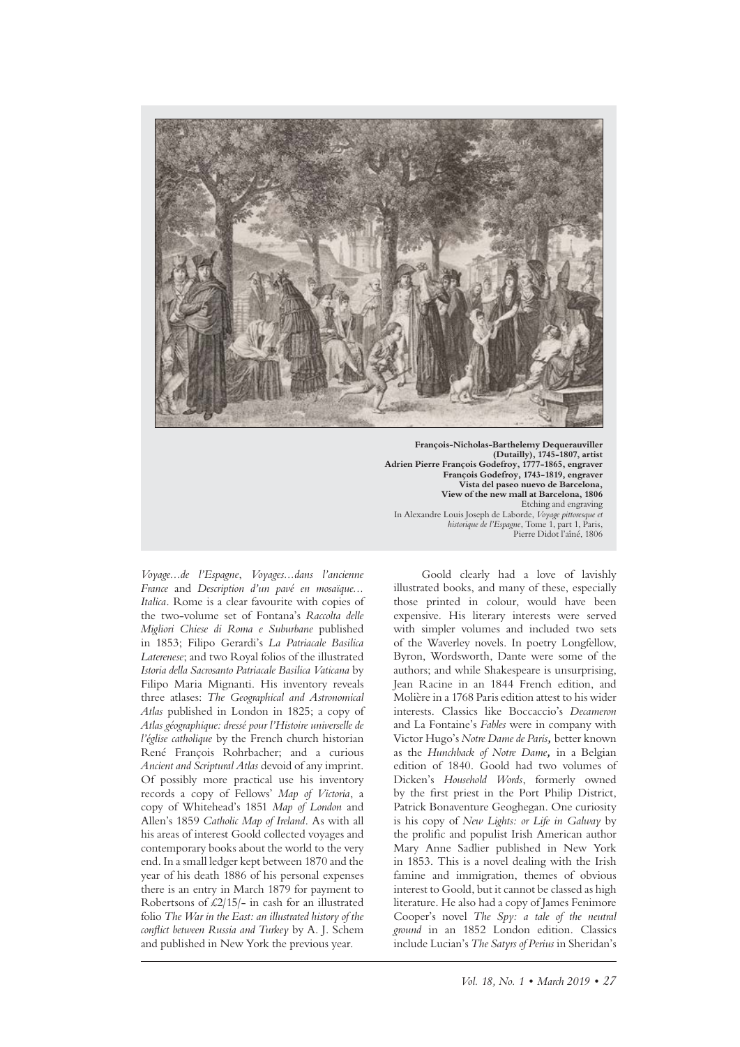

**François-Nicholas-Barthelemy Dequerauviller (Dutailly), 1745-1807, artist Adrien Pierre François Godefroy, 1777-1865, engraver François Godefroy, 1743-1819, engraver Vista del paseo nuevo de Barcelona, View of the new mall at Barcelona, 1806** Etching and engraving In Alexandre Louis Joseph de Laborde, *Voyage pittoresque et historique de l'Espagne*, Tome 1, part 1, Paris, Pierre Didot l'aîné, 1806

*Voyage...de l'Espagne*, *Voyages...dans l'ancienne France* and *Description d'un pavé en mosaïque... Italica*. Rome is a clear favourite with copies of the two-volume set of Fontana's *Raccolta delle Migliori Chiese di Roma e Suburbane* published in 1853; Filipo Gerardi's *La Patriacale Basilica Laterenese*; and two Royal folios of the illustrated *Istoria della Sacrosanto Patriacale Basilica Vaticana* by Filipo Maria Mignanti. His inventory reveals three atlases: *The Geographical and Astronomical Atlas* published in London in 1825; a copy of *Atlas géographique: dressé pour l'Histoire universelle de l'église catholique* by the French church historian René François Rohrbacher; and a curious *Ancient and Scriptural Atlas* devoid of any imprint. Of possibly more practical use his inventory records a copy of Fellows' *Map of Victoria*, a copy of Whitehead's 1851 *Map of London* and Allen's 1859 *Catholic Map of Ireland*. As with all his areas of interest Goold collected voyages and contemporary books about the world to the very end. In a small ledger kept between 1870 and the year of his death 1886 of his personal expenses there is an entry in March 1879 for payment to Robertsons of  $\text{\pounds}2/15/-$  in cash for an illustrated folio *The War in the East: an illustrated history of the confict between Russia and Turkey* by A. J. Schem and published in New York the previous year.

Goold clearly had a love of lavishly illustrated books, and many of these, especially those printed in colour, would have been expensive. His literary interests were served with simpler volumes and included two sets of the Waverley novels. In poetry Longfellow, Byron, Wordsworth, Dante were some of the authors; and while Shakespeare is unsurprising, Jean Racine in an 1844 French edition, and Molière in a 1768 Paris edition attest to his wider interests. Classics like Boccaccio's *Decameron* and La Fontaine's *Fables* were in company with Victor Hugo's *Notre Dame de Paris,* better known as the *Hunchback of Notre Dame,* in a Belgian edition of 1840. Goold had two volumes of Dicken's *Household Words*, formerly owned by the frst priest in the Port Philip District, Patrick Bonaventure Geoghegan. One curiosity is his copy of *New Lights: or Life in Galway* by the prolifc and populist Irish American author Mary Anne Sadlier published in New York in 1853. This is a novel dealing with the Irish famine and immigration, themes of obvious interest to Goold, but it cannot be classed as high literature. He also had a copy of James Fenimore Cooper's novel *The Spy: a tale of the neutral ground* in an 1852 London edition. Classics include Lucian's *The Satyrs of Perius* in Sheridan's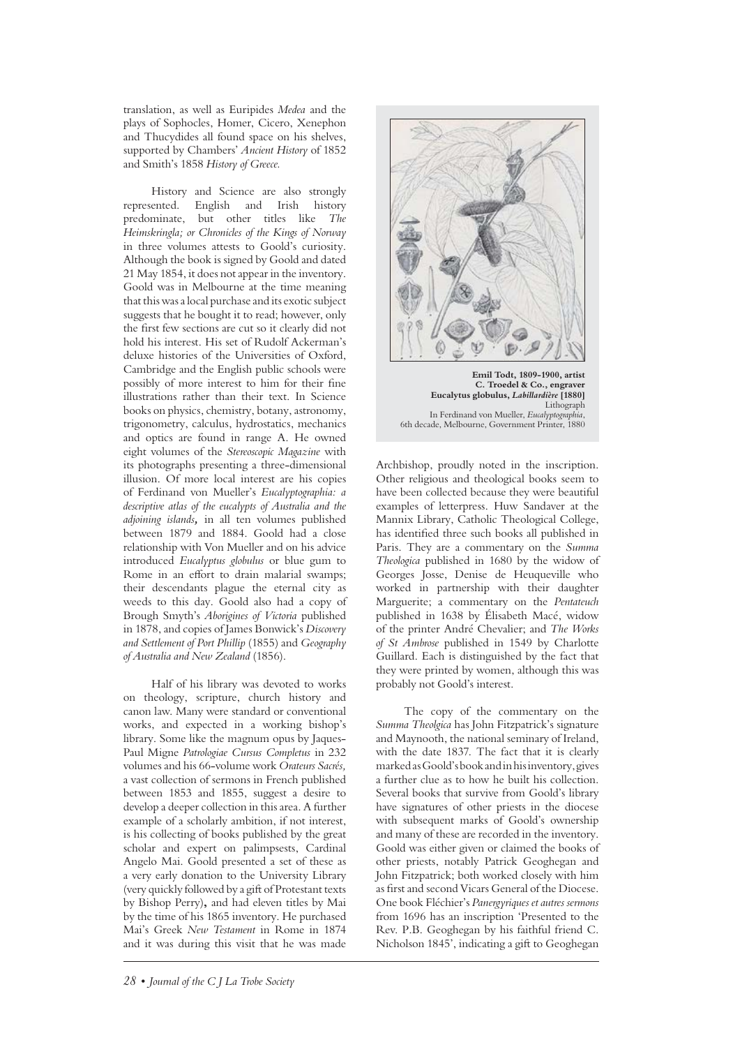translation, as well as Euripides *Medea* and the plays of Sophocles, Homer, Cicero, Xenephon and Thucydides all found space on his shelves, supported by Chambers' *Ancient History* of 1852 and Smith's 1858 *History of Greece.*

History and Science are also strongly represented. English and Irish history predominate, but other titles like *The Heimskringla; or Chronicles of the Kings of Norway* in three volumes attests to Goold's curiosity. Although the book is signed by Goold and dated 21 May 1854, it does not appear in the inventory. Goold was in Melbourne at the time meaning that this was a local purchase and its exotic subject suggests that he bought it to read; however, only the frst few sections are cut so it clearly did not hold his interest. His set of Rudolf Ackerman's deluxe histories of the Universities of Oxford, Cambridge and the English public schools were possibly of more interest to him for their fne illustrations rather than their text. In Science books on physics, chemistry, botany, astronomy, trigonometry, calculus, hydrostatics, mechanics and optics are found in range A. He owned eight volumes of the *Stereoscopic Magazine* with its photographs presenting a three-dimensional illusion. Of more local interest are his copies of Ferdinand von Mueller's *Eucalyptographia: a descriptive atlas of the eucalypts of Australia and the adjoining islands,* in all ten volumes published between 1879 and 1884. Goold had a close relationship with Von Mueller and on his advice introduced *Eucalyptus globulus* or blue gum to Rome in an effort to drain malarial swamps; their descendants plague the eternal city as weeds to this day. Goold also had a copy of Brough Smyth's *Aborigines of Victoria* published in 1878, and copies of James Bonwick's *Discovery and Settlement of Port Phillip* (1855) and *Geography of Australia and New Zealand* (1856).

Half of his library was devoted to works on theology, scripture, church history and canon law. Many were standard or conventional works, and expected in a working bishop's library. Some like the magnum opus by Jaques-Paul Migne *Patrologiae Cursus Completus* in 232 volumes and his 66-volume work *Orateurs Sacrés,* a vast collection of sermons in French published between 1853 and 1855, suggest a desire to develop a deeper collection in this area. A further example of a scholarly ambition, if not interest, is his collecting of books published by the great scholar and expert on palimpsests, Cardinal Angelo Mai. Goold presented a set of these as a very early donation to the University Library (very quickly followed by a gif of Protestant texts by Bishop Perry)**,** and had eleven titles by Mai by the time of his 1865 inventory. He purchased Mai's Greek *New Testament* in Rome in 1874 and it was during this visit that he was made



Archbishop, proudly noted in the inscription. Other religious and theological books seem to have been collected because they were beautiful examples of letterpress. Huw Sandaver at the Mannix Library, Catholic Theological College, has identifed three such books all published in Paris. They are a commentary on the *Summa Theologica* published in 1680 by the widow of Georges Josse, Denise de Heuqueville who worked in partnership with their daughter Marguerite; a commentary on the *Pentateuch* published in 1638 by Élisabeth Macé, widow of the printer André Chevalier; and *The Works of St Ambrose* published in 1549 by Charlotte Guillard. Each is distinguished by the fact that they were printed by women, although this was probably not Goold's interest.

The copy of the commentary on the *Summa Theolgica* has John Fitzpatrick's signature and Maynooth, the national seminary of Ireland, with the date 1837. The fact that it is clearly marked as Goold's book and in his inventory, gives a further clue as to how he built his collection. Several books that survive from Goold's library have signatures of other priests in the diocese with subsequent marks of Goold's ownership and many of these are recorded in the inventory. Goold was either given or claimed the books of other priests, notably Patrick Geoghegan and John Fitzpatrick; both worked closely with him as frst and second Vicars General of the Diocese. One book Fléchier's *Panergyriques et autres sermons* from 1696 has an inscription 'Presented to the Rev. P.B. Geoghegan by his faithful friend C. Nicholson 1845', indicating a gift to Geoghegan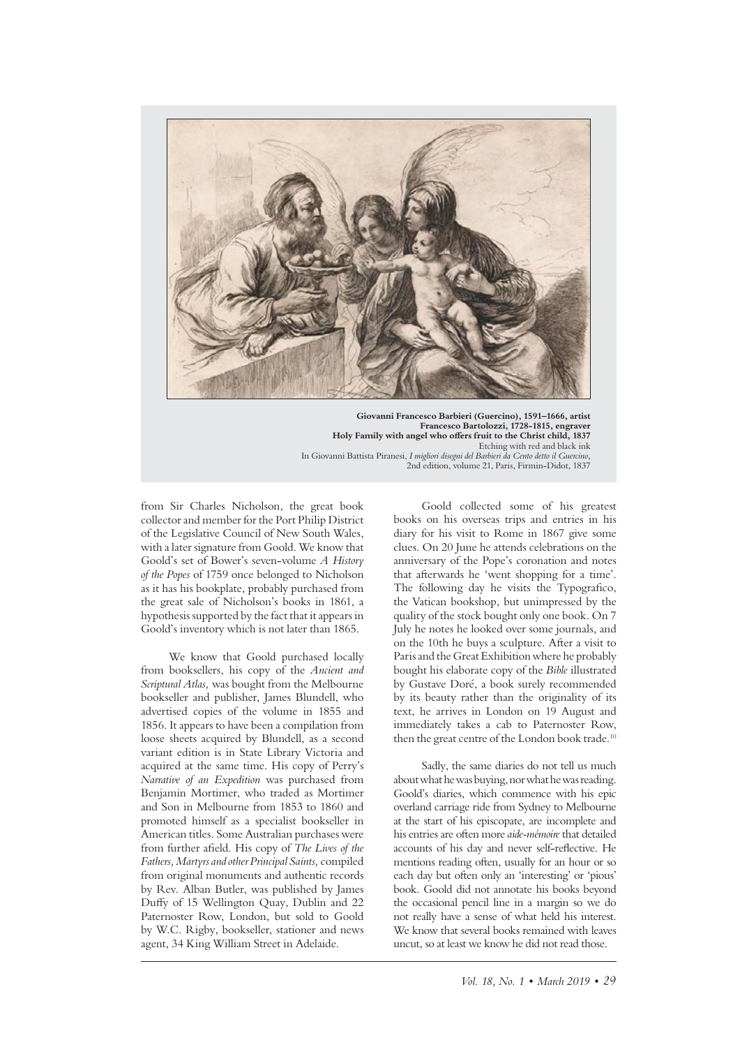

**Giovanni Francesco Barbieri (Guercino), 1591–1666, artist Francesco Bartolozzi, 1728-1815, engraver Holy Family with angel who ofers fruit to the Christ child, 1837** Etching with red and black ink In Giovanni Battista Piranesi, *I migliori disegni del Barbieri da Cento detto il Guercino*, 2nd edition, volume 21, Paris, Firmin-Didot, 1837

from Sir Charles Nicholson, the great book collector and member for the Port Philip District of the Legislative Council of New South Wales, with a later signature from Goold. We know that Goold's set of Bower's seven-volume *A History of the Popes* of 1759 once belonged to Nicholson as it has his bookplate, probably purchased from the great sale of Nicholson's books in 1861, a hypothesis supported by the fact that it appears in Goold's inventory which is not later than 1865.

We know that Goold purchased locally from booksellers, his copy of the *Ancient and Scriptural Atlas,* was bought from the Melbourne bookseller and publisher, James Blundell, who advertised copies of the volume in 1855 and 1856. It appears to have been a compilation from loose sheets acquired by Blundell, as a second variant edition is in State Library Victoria and acquired at the same time. His copy of Perry's *Narrative of an Expedition* was purchased from Benjamin Mortimer, who traded as Mortimer and Son in Melbourne from 1853 to 1860 and promoted himself as a specialist bookseller in American titles. Some Australian purchases were from further afeld. His copy of *The Lives of the Fathers, Martyrs and other Principal Saints,* compiled from original monuments and authentic records by Rev. Alban Butler, was published by James Dufy of 15 Wellington Quay, Dublin and 22 Paternoster Row, London, but sold to Goold by W.C. Rigby, bookseller, stationer and news agent, 34 King William Street in Adelaide.

Goold collected some of his greatest books on his overseas trips and entries in his diary for his visit to Rome in 1867 give some clues. On 20 June he attends celebrations on the anniversary of the Pope's coronation and notes that aferwards he 'went shopping for a time'. The following day he visits the Typografico, the Vatican bookshop, but unimpressed by the quality of the stock bought only one book. On 7 July he notes he looked over some journals, and on the 10th he buys a sculpture. Afer a visit to Paris and the Great Exhibition where he probably bought his elaborate copy of the *Bible* illustrated by Gustave Doré, a book surely recommended by its beauty rather than the originality of its text, he arrives in London on 19 August and immediately takes a cab to Paternoster Row, then the great centre of the London book trade.<sup>10</sup>

Sadly, the same diaries do not tell us much about what he was buying, nor what he was reading. Goold's diaries, which commence with his epic overland carriage ride from Sydney to Melbourne at the start of his episcopate, are incomplete and his entries are ofen more *aide-mémoire* that detailed accounts of his day and never self-refective. He mentions reading often, usually for an hour or so each day but ofen only an 'interesting' or 'pious' book. Goold did not annotate his books beyond the occasional pencil line in a margin so we do not really have a sense of what held his interest. We know that several books remained with leaves uncut, so at least we know he did not read those.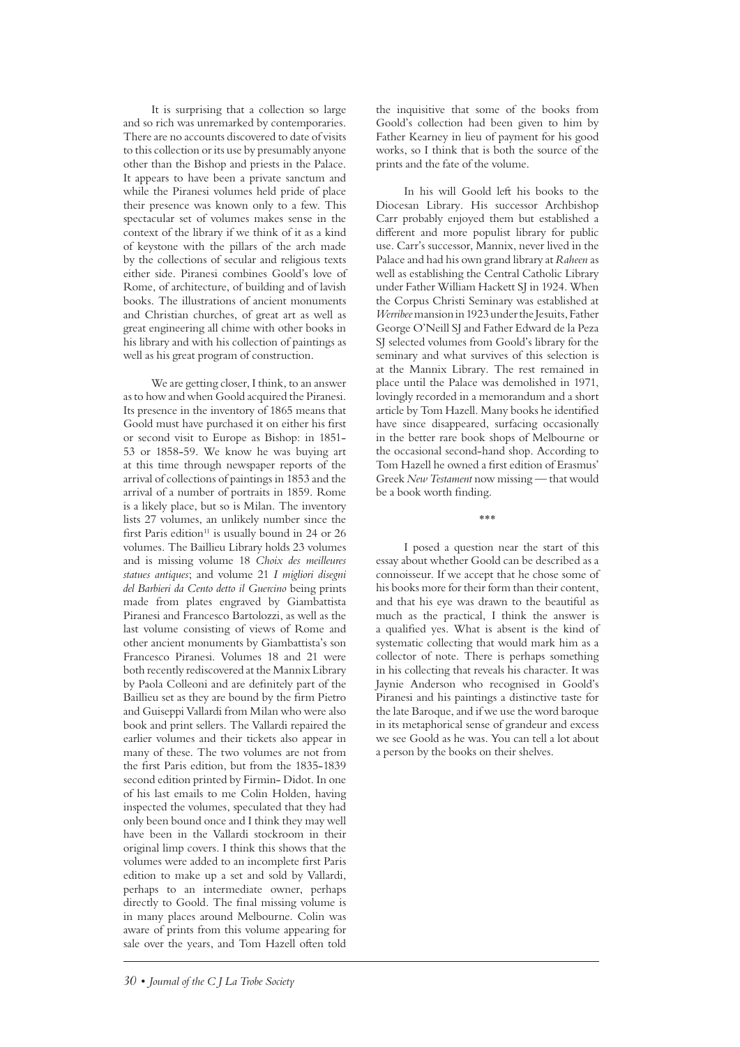It is surprising that a collection so large and so rich was unremarked by contemporaries. There are no accounts discovered to date of visits to this collection or its use by presumably anyone other than the Bishop and priests in the Palace. It appears to have been a private sanctum and while the Piranesi volumes held pride of place their presence was known only to a few. This spectacular set of volumes makes sense in the context of the library if we think of it as a kind of keystone with the pillars of the arch made by the collections of secular and religious texts either side. Piranesi combines Goold's love of Rome, of architecture, of building and of lavish books. The illustrations of ancient monuments and Christian churches, of great art as well as great engineering all chime with other books in his library and with his collection of paintings as well as his great program of construction.

We are getting closer, I think, to an answer as to how and when Goold acquired the Piranesi. Its presence in the inventory of 1865 means that Goold must have purchased it on either his frst or second visit to Europe as Bishop: in 1851- 53 or 1858-59. We know he was buying art at this time through newspaper reports of the arrival of collections of paintings in 1853 and the arrival of a number of portraits in 1859. Rome is a likely place, but so is Milan. The inventory lists 27 volumes, an unlikely number since the first Paris edition<sup>11</sup> is usually bound in 24 or 26 volumes. The Baillieu Library holds 23 volumes and is missing volume 18 *Choix des meilleures statues antiques*; and volume 21 *I migliori disegni del Barbieri da Cento detto il Guercino* being prints made from plates engraved by Giambattista Piranesi and Francesco Bartolozzi, as well as the last volume consisting of views of Rome and other ancient monuments by Giambattista's son Francesco Piranesi. Volumes 18 and 21 were both recently rediscovered at the Mannix Library by Paola Colleoni and are defnitely part of the Baillieu set as they are bound by the frm Pietro and Guiseppi Vallardi from Milan who were also book and print sellers. The Vallardi repaired the earlier volumes and their tickets also appear in many of these. The two volumes are not from the frst Paris edition, but from the 1835-1839 second edition printed by Firmin- Didot. In one of his last emails to me Colin Holden, having inspected the volumes, speculated that they had only been bound once and I think they may well have been in the Vallardi stockroom in their original limp covers. I think this shows that the volumes were added to an incomplete frst Paris edition to make up a set and sold by Vallardi, perhaps to an intermediate owner, perhaps directly to Goold. The fnal missing volume is in many places around Melbourne. Colin was aware of prints from this volume appearing for sale over the years, and Tom Hazell often told the inquisitive that some of the books from Goold's collection had been given to him by Father Kearney in lieu of payment for his good works, so I think that is both the source of the prints and the fate of the volume.

In his will Goold left his books to the Diocesan Library. His successor Archbishop Carr probably enjoyed them but established a diferent and more populist library for public use. Carr's successor, Mannix, never lived in the Palace and had his own grand library at *Raheen* as well as establishing the Central Catholic Library under Father William Hackett SJ in 1924. When the Corpus Christi Seminary was established at *Werribee* mansion in 1923 under the Jesuits, Father George O'Neill SJ and Father Edward de la Peza SJ selected volumes from Goold's library for the seminary and what survives of this selection is at the Mannix Library. The rest remained in place until the Palace was demolished in 1971, lovingly recorded in a memorandum and a short article by Tom Hazell. Many books he identifed have since disappeared, surfacing occasionally in the better rare book shops of Melbourne or the occasional second-hand shop. According to Tom Hazell he owned a frst edition of Erasmus' Greek *New Testament* now missing — that would be a book worth fnding.

\*\*\*

I posed a question near the start of this essay about whether Goold can be described as a connoisseur. If we accept that he chose some of his books more for their form than their content, and that his eye was drawn to the beautiful as much as the practical, I think the answer is a qualifed yes. What is absent is the kind of systematic collecting that would mark him as a collector of note. There is perhaps something in his collecting that reveals his character. It was Jaynie Anderson who recognised in Goold's Piranesi and his paintings a distinctive taste for the late Baroque, and if we use the word baroque in its metaphorical sense of grandeur and excess we see Goold as he was. You can tell a lot about a person by the books on their shelves.